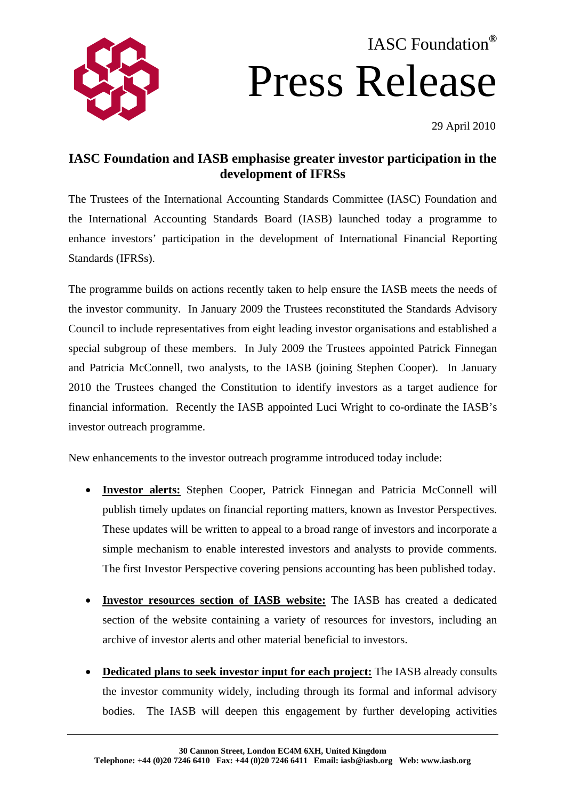# IASC Foundation**®** Press Release



## **IASC Foundation and IASB emphasise greater investor participation in the development of IFRSs**

The Trustees of the International Accounting Standards Committee (IASC) Foundation and the International Accounting Standards Board (IASB) launched today a programme to enhance investors' participation in the development of International Financial Reporting Standards (IFRSs).

The programme builds on actions recently taken to help ensure the IASB meets the needs of the investor community. In January 2009 the Trustees reconstituted the Standards Advisory Council to include representatives from eight leading investor organisations and established a special subgroup of these members. In July 2009 the Trustees appointed Patrick Finnegan and Patricia McConnell, two analysts, to the IASB (joining Stephen Cooper). In January 2010 the Trustees changed the Constitution to identify investors as a target audience for financial information. Recently the IASB appointed Luci Wright to co-ordinate the IASB's investor outreach programme.

New enhancements to the investor outreach programme introduced today include:

- **Investor alerts:** Stephen Cooper, Patrick Finnegan and Patricia McConnell will publish timely updates on financial reporting matters, known as Investor Perspectives. These updates will be written to appeal to a broad range of investors and incorporate a simple mechanism to enable interested investors and analysts to provide comments. The first Investor Perspective covering pensions accounting has been published today.
- **Investor resources section of IASB website:** The IASB has created a dedicated section of the website containing a variety of resources for investors, including an archive of investor alerts and other material beneficial to investors.
- **Dedicated plans to seek investor input for each project:** The IASB already consults the investor community widely, including through its formal and informal advisory bodies. The IASB will deepen this engagement by further developing activities

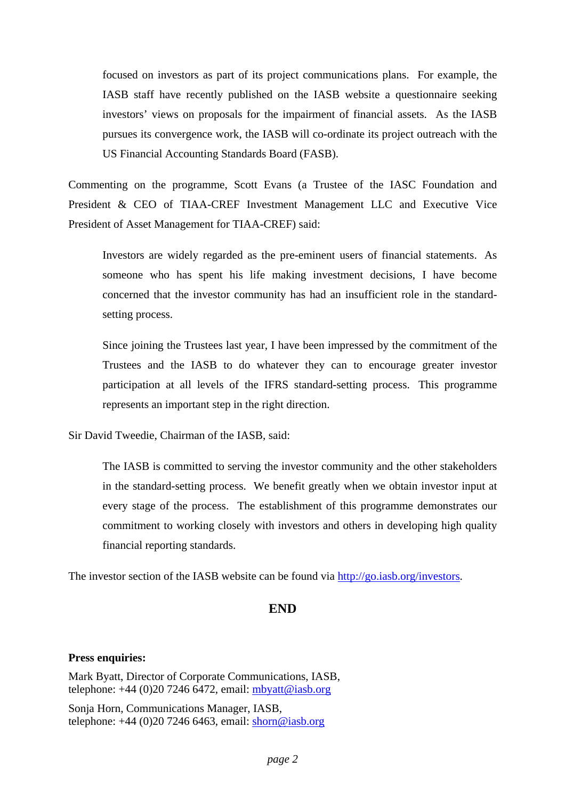focused on investors as part of its project communications plans. For example, the IASB staff have recently published on the IASB website a questionnaire seeking investors' views on proposals for the impairment of financial assets. As the IASB pursues its convergence work, the IASB will co-ordinate its project outreach with the US Financial Accounting Standards Board (FASB).

Commenting on the programme, Scott Evans (a Trustee of the IASC Foundation and President & CEO of TIAA-CREF Investment Management LLC and Executive Vice President of Asset Management for TIAA-CREF) said:

Investors are widely regarded as the pre-eminent users of financial statements. As someone who has spent his life making investment decisions, I have become concerned that the investor community has had an insufficient role in the standardsetting process.

Since joining the Trustees last year, I have been impressed by the commitment of the Trustees and the IASB to do whatever they can to encourage greater investor participation at all levels of the IFRS standard-setting process. This programme represents an important step in the right direction.

Sir David Tweedie, Chairman of the IASB, said:

The IASB is committed to serving the investor community and the other stakeholders in the standard-setting process. We benefit greatly when we obtain investor input at every stage of the process. The establishment of this programme demonstrates our commitment to working closely with investors and others in developing high quality financial reporting standards.

The investor section of the IASB website can be found via <http://go.iasb.org/investors>.

### **END**

#### **Press enquiries:**

Mark Byatt, Director of Corporate Communications, IASB, telephone:  $+44$  (0)20 7246 6472, email: [mbyatt@iasb.org](mailto:mbyatt@iasb.org)

Sonja Horn, Communications Manager, IASB, telephone:  $+44$  (0)20 7246 6463, email: shorn@iasb.org